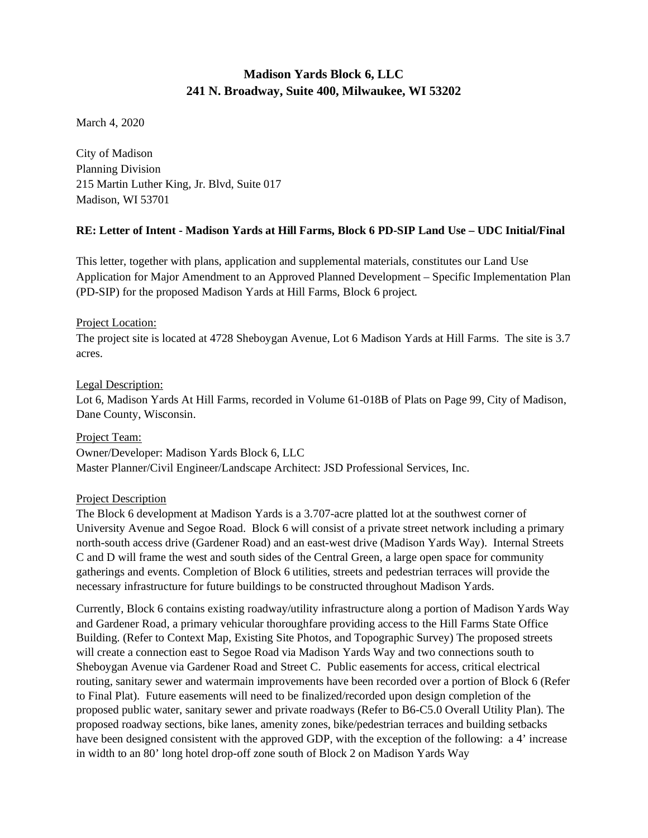# **Madison Yards Block 6, LLC 241 N. Broadway, Suite 400, Milwaukee, WI 53202**

March 4, 2020

City of Madison Planning Division 215 Martin Luther King, Jr. Blvd, Suite 017 Madison, WI 53701

# **RE: Letter of Intent - Madison Yards at Hill Farms, Block 6 PD-SIP Land Use – UDC Initial/Final**

This letter, together with plans, application and supplemental materials, constitutes our Land Use Application for Major Amendment to an Approved Planned Development – Specific Implementation Plan (PD-SIP) for the proposed Madison Yards at Hill Farms, Block 6 project*.* 

# Project Location:

The project site is located at 4728 Sheboygan Avenue, Lot 6 Madison Yards at Hill Farms. The site is 3.7 acres.

# Legal Description:

Lot 6, Madison Yards At Hill Farms, recorded in Volume 61-018B of Plats on Page 99, City of Madison, Dane County, Wisconsin.

Project Team: Owner/Developer: Madison Yards Block 6, LLC Master Planner/Civil Engineer/Landscape Architect: JSD Professional Services, Inc.

# Project Description

The Block 6 development at Madison Yards is a 3.707-acre platted lot at the southwest corner of University Avenue and Segoe Road. Block 6 will consist of a private street network including a primary north-south access drive (Gardener Road) and an east-west drive (Madison Yards Way). Internal Streets C and D will frame the west and south sides of the Central Green, a large open space for community gatherings and events. Completion of Block 6 utilities, streets and pedestrian terraces will provide the necessary infrastructure for future buildings to be constructed throughout Madison Yards.

Currently, Block 6 contains existing roadway/utility infrastructure along a portion of Madison Yards Way and Gardener Road, a primary vehicular thoroughfare providing access to the Hill Farms State Office Building. (Refer to Context Map, Existing Site Photos, and Topographic Survey) The proposed streets will create a connection east to Segoe Road via Madison Yards Way and two connections south to Sheboygan Avenue via Gardener Road and Street C. Public easements for access, critical electrical routing, sanitary sewer and watermain improvements have been recorded over a portion of Block 6 (Refer to Final Plat). Future easements will need to be finalized/recorded upon design completion of the proposed public water, sanitary sewer and private roadways (Refer to B6-C5.0 Overall Utility Plan). The proposed roadway sections, bike lanes, amenity zones, bike/pedestrian terraces and building setbacks have been designed consistent with the approved GDP, with the exception of the following: a 4' increase in width to an 80' long hotel drop-off zone south of Block 2 on Madison Yards Way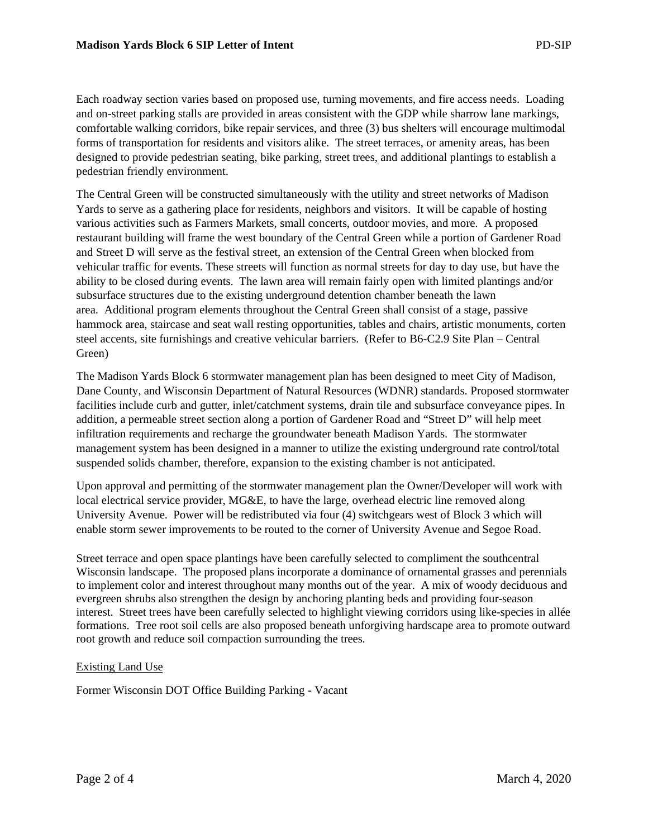Each roadway section varies based on proposed use, turning movements, and fire access needs. Loading and on-street parking stalls are provided in areas consistent with the GDP while sharrow lane markings, comfortable walking corridors, bike repair services, and three (3) bus shelters will encourage multimodal forms of transportation for residents and visitors alike. The street terraces, or amenity areas, has been designed to provide pedestrian seating, bike parking, street trees, and additional plantings to establish a pedestrian friendly environment.

The Central Green will be constructed simultaneously with the utility and street networks of Madison Yards to serve as a gathering place for residents, neighbors and visitors. It will be capable of hosting various activities such as Farmers Markets, small concerts, outdoor movies, and more. A proposed restaurant building will frame the west boundary of the Central Green while a portion of Gardener Road and Street D will serve as the festival street, an extension of the Central Green when blocked from vehicular traffic for events. These streets will function as normal streets for day to day use, but have the ability to be closed during events. The lawn area will remain fairly open with limited plantings and/or subsurface structures due to the existing underground detention chamber beneath the lawn area. Additional program elements throughout the Central Green shall consist of a stage, passive hammock area, staircase and seat wall resting opportunities, tables and chairs, artistic monuments, corten steel accents, site furnishings and creative vehicular barriers. (Refer to B6-C2.9 Site Plan – Central Green)

The Madison Yards Block 6 stormwater management plan has been designed to meet City of Madison, Dane County, and Wisconsin Department of Natural Resources (WDNR) standards. Proposed stormwater facilities include curb and gutter, inlet/catchment systems, drain tile and subsurface conveyance pipes. In addition, a permeable street section along a portion of Gardener Road and "Street D" will help meet infiltration requirements and recharge the groundwater beneath Madison Yards. The stormwater management system has been designed in a manner to utilize the existing underground rate control/total suspended solids chamber, therefore, expansion to the existing chamber is not anticipated.

Upon approval and permitting of the stormwater management plan the Owner/Developer will work with local electrical service provider, MG&E, to have the large, overhead electric line removed along University Avenue. Power will be redistributed via four (4) switchgears west of Block 3 which will enable storm sewer improvements to be routed to the corner of University Avenue and Segoe Road.

Street terrace and open space plantings have been carefully selected to compliment the southcentral Wisconsin landscape. The proposed plans incorporate a dominance of ornamental grasses and perennials to implement color and interest throughout many months out of the year. A mix of woody deciduous and evergreen shrubs also strengthen the design by anchoring planting beds and providing four-season interest. Street trees have been carefully selected to highlight viewing corridors using like-species in allée formations. Tree root soil cells are also proposed beneath unforgiving hardscape area to promote outward root growth and reduce soil compaction surrounding the trees.

#### Existing Land Use

Former Wisconsin DOT Office Building Parking - Vacant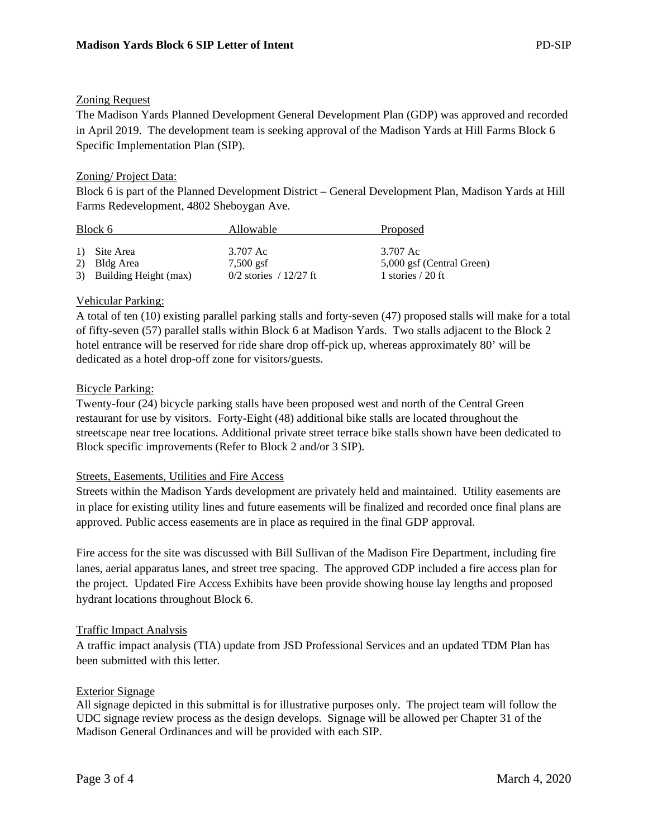# Zoning Request

The Madison Yards Planned Development General Development Plan (GDP) was approved and recorded in April 2019. The development team is seeking approval of the Madison Yards at Hill Farms Block 6 Specific Implementation Plan (SIP).

# Zoning/ Project Data:

Block 6 is part of the Planned Development District – General Development Plan, Madison Yards at Hill Farms Redevelopment, 4802 Sheboygan Ave.

| Block 6 |                                          | Allowable                               | Proposed                                         |
|---------|------------------------------------------|-----------------------------------------|--------------------------------------------------|
|         | 1) Site Area                             | 3.707 Ac                                | 3.707 Ac                                         |
|         | 2) Bldg Area<br>3) Building Height (max) | $7.500$ gsf<br>$0/2$ stories / 12/27 ft | 5,000 gsf (Central Green)<br>1 stories $/ 20$ ft |

#### Vehicular Parking:

A total of ten (10) existing parallel parking stalls and forty-seven (47) proposed stalls will make for a total of fifty-seven (57) parallel stalls within Block 6 at Madison Yards. Two stalls adjacent to the Block 2 hotel entrance will be reserved for ride share drop off-pick up, whereas approximately 80' will be dedicated as a hotel drop-off zone for visitors/guests.

# Bicycle Parking:

Twenty-four (24) bicycle parking stalls have been proposed west and north of the Central Green restaurant for use by visitors. Forty-Eight (48) additional bike stalls are located throughout the streetscape near tree locations. Additional private street terrace bike stalls shown have been dedicated to Block specific improvements (Refer to Block 2 and/or 3 SIP).

#### Streets, Easements, Utilities and Fire Access

Streets within the Madison Yards development are privately held and maintained. Utility easements are in place for existing utility lines and future easements will be finalized and recorded once final plans are approved. Public access easements are in place as required in the final GDP approval.

Fire access for the site was discussed with Bill Sullivan of the Madison Fire Department, including fire lanes, aerial apparatus lanes, and street tree spacing. The approved GDP included a fire access plan for the project. Updated Fire Access Exhibits have been provide showing house lay lengths and proposed hydrant locations throughout Block 6.

# Traffic Impact Analysis

A traffic impact analysis (TIA) update from JSD Professional Services and an updated TDM Plan has been submitted with this letter.

#### Exterior Signage

All signage depicted in this submittal is for illustrative purposes only. The project team will follow the UDC signage review process as the design develops. Signage will be allowed per Chapter 31 of the Madison General Ordinances and will be provided with each SIP.